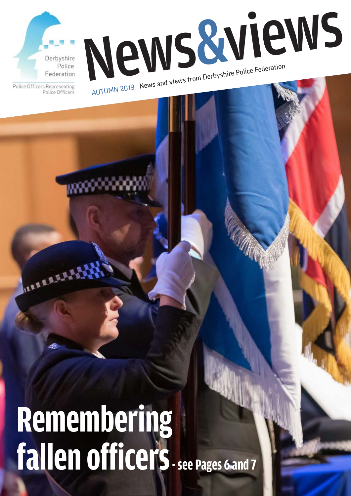



Police Officers Representing Police Officers

# **Remembering fallen officers - see Pages 6 and 7**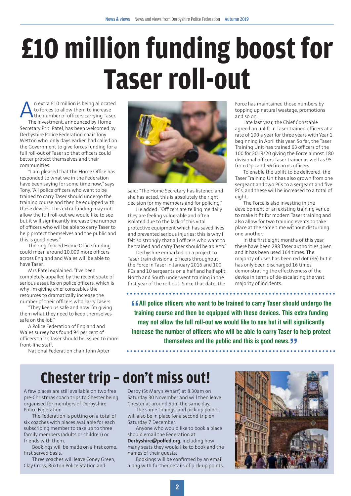## **£10 million funding boost for Taser roll-out**

An extra £10 million is being allocated<br>to forces to allow them to increase<br>the number of officers carrying Taser.<br>The investment announced by Home to forces to allow them to increase the number of officers carrying Taser. The investment, announced by Home Secretary Priti Patel, has been welcomed by Derbyshire Police Federation chair Tony Wetton who, only days earlier, had called on the Government to give forces funding for a full roll-out of Taser so that officers could better protect themselves and their communities.

"I am pleased that the Home Office has responded to what we in the Federation have been saying for some time now," says Tony, "All police officers who want to be trained to carry Taser should undergo the training course and then be equipped with these devices. This extra funding may not allow the full roll-out we would like to see but it will significantly increase the number of officers who will be able to carry Taser to help protect themselves and the public and this is good news."

The ring-fenced Home Office funding could mean around 10,000 more officers across England and Wales will be able to have Taser.

Mrs Patel explained: "I've been completely appalled by the recent spate of serious assaults on police officers, which is why I'm giving chief constables the resources to dramatically increase the number of their officers who carry Tasers.

"They keep us safe and now I'm giving them what they need to keep themselves safe on the job."

A Police Federation of England and Wales survey has found 94 per cent of officers think Taser should be issued to more front-line staff.

National Federation chair John Apter



said: "The Home Secretary has listened and she has acted, this is absolutely the right decision for my members and for policing."

He added: "Officers are telling me daily they are feeling vulnerable and often isolated due to the lack of this vital protective equipment which has saved lives and prevented serious injuries; this is why I felt so strongly that all officers who want to be trained and carry Taser should be able to."

Derbyshire embarked on a project to Taser train divisional officers throughout the Force in Taser in January 2016 and 100 PCs and 10 sergeants on a half and half split North and South underwent training in the first year of the roll-out. Since that date, the

Force has maintained those numbers by topping up natural wastage, promotions and so on.

Late last year, the Chief Constable agreed an uplift in Taser trained officers at a rate of 100 a year for three years with Year 1 beginning in April this year. So far, the Taser Training Unit has trained 63 officers of the 100 for 2019/20 giving the Force almost 180 divisional officers Taser trainer as well as 95 from Ops and 56 firearms officers.

To enable the uplift to be delivered, the Taser Training Unit has also grown from one sergeant and two PCs to a sergeant and five PCs, and these will be increased to a total of eight.

The Force is also investing in the development of an existing training venue to make it fit for modern Taser training and also allow for two training events to take place at the same time without disturbing one another.

In the first eight months of this year, there have been 288 Taser authorities given and it has been used 164 times. The majority of uses has been red dot (86) but it has only been discharged 16 times, demonstrating the effectiveness of the device in terms of de-escalating the vast majority of incidents.

**CALL police officers who want to be trained to carry Taser should undergo the training course and then be equipped with these devices. This extra funding training course and then be equipped with these devices. This extra funding may not allow the full roll-out we would like to see but it will significantly increase the number of officers who will be able to carry Taser to help protect themselves and the public and this is good news."**

**Chester trip – don't miss out!**

A few places are still available on two free pre-Christmas coach trips to Chester being organised for members of Derbyshire Police Federation.

The Federation is putting on a total of six coaches with places available for each subscribing member to take up to three family members (adults or children) or friends with them.

Bookings will be made on a first come, first served basis.

Three coaches will leave Coney Green, Clay Cross, Buxton Police Station and

Derby (St Mary's Wharf) at 8.30am on Saturday 30 November and will then leave Chester at around 5pm the same day.

The same timings, and pick-up points, will also be in place for a second trip on Saturday 7 December.

Anyone who would like to book a place should email the Federation at **Derbyshire@polfed.org**, including how many seats they would like to book and the names of their guests.

Bookings will be confirmed by an email along with further details of pick-up points.

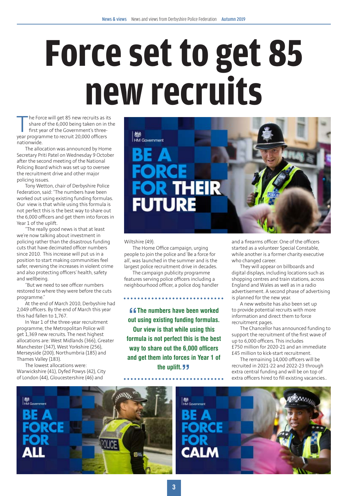# **Force set to get 85 new recruits**

The Force will get 85 new recruits as its<br>share of the 6,000 being taken on in the<br>first year of the Government's three-<br>year programme to recruit 20,000 officers share of the 6,000 being taken on in the first year of the Government's threeyear programme to recruit 20,000 officers nationwide.

The allocation was announced by Home Secretary Priti Patel on Wednesday 9 October after the second meeting of the National Policing Board which was set up to oversee the recruitment drive and other major policing issues.

Tony Wetton, chair of Derbyshire Police Federation, said: "The numbers have been worked out using existing funding formulas. Our view is that while using this formula is not perfect this is the best way to share out the 6,000 officers and get them into forces in Year 1 of the uplift.

"The really good news is that at least we're now talking about investment in policing rather than the disastrous funding cuts that have decimated officer numbers since 2010. This increase will put us in a position to start making communities feel safer, reversing the increases in violent crime and also protecting officers' health, safety and wellbeing.

"But we need to see officer numbers restored to where they were before the cuts programme."

At the end of March 2010, Derbyshire had 2,049 officers. By the end of March this year this had fallen to 1,767.

In Year 1 of the three-year recruitment programme, the Metropolitan Police will get 1,369 new recruits. The next highest allocations are: West Midlands (366), Greater Manchester (347), West Yorkshire (256), Merseyside (200), Northumbria (185) and Thames Valley (183).

The lowest allocations were: Warwickshire (41), Dyfed Powys (42), City of London (44), Gloucestershire (46) and



Wiltshire (49).

The Home Office campaign, urging people to join the police and 'Be a force for all', was launched in the summer and is the largest police recruitment drive in decades.

The campaign publicity programme features serving police officers including a neighbourhood officer, a police dog handler

**Example 1 Set of The numbers have been worked out using existing funding formulas. The numbers have been worked Our view is that while using this formula is not perfect this is the best way to share out the 6,000 officers and get them into forces in Year 1 of**  the uplift. *JJ* 

and a firearms officer. One of the officers started as a volunteer Special Constable, while another is a former charity executive who changed career.

They will appear on billboards and digital displays, including locations such as shopping centres and train stations, across England and Wales as well as in a radio advertisement. A second phase of advertising is planned for the new year.

A new website has also been set up to provide potential recruits with more information and direct them to force recruitment pages.

The Chancellor has announced funding to support the recruitment of the first wave of up to 6,000 officers. This includes £750 million for 2020-21 and an immediate £45 million to kick-start recruitment.

The remaining 14,000 officers will be recruited in 2021-22 and 2022-23 through extra central funding and will be on top of extra officers hired to fill existing vacancies..

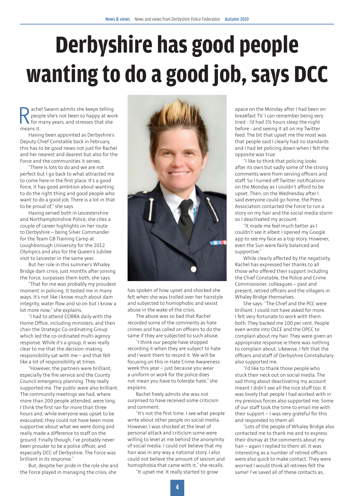## **Derbyshire has good people wanting to do a good job, says DCC**

Rachel Swann admits she keeps telling<br>people she's not been so happy at work<br>for many years, and stresses that she<br>means it people she's not been so happy at work for many years, and stresses that she means it.

Having been appointed as Derbyshire's Deputy Chief Constable back in February, this has to be good news not just for Rachel and her nearest and dearest but also for the Force and the communities it serves.

"There is lots to do and we are not perfect but I go back to what attracted me to come here in the first place. It's a good force, it has good ambition about wanting to do the right thing and good people who want to do a good job. There is a lot in that to be proud of," she says.

Having served both in Leicestershire and Northamptonshire Police, she cites a couple of career highlights on her route to Derbyshire – being Silver Commander for the Team GB Training Camp at Loughborough University for the 2012 Olympics and also for the Queen's Jubilee visit to Leicester in the same year.

But her role in this summer's Whaley Bridge dam crisis, just months after joining the Force, surpasses them both, she says.

"That for me was probably my proudest moment in policing. It tested me in many ways. It's not like I know much about dam integrity, water flow and so on but I know a lot more now," she explains.

"I had to attend COBRA daily with the Home Office, including ministers, and then chair the Strategic Co-ordinating Group which led the co-ordinated multi-agency response. While it's a group, it was really clear to me that the decision-making responsibility sat with me – and that felt like a lot of responsibility at times.

"However, the partners were brilliant, especially the fire service and the County Council emergency planning. They really supported me. The public were also brilliant. The community meetings we had, where more than 200 people attended, were long. I think the first ran for more than three hours and, while everyone was upset to be evacuated, they could not have been more supportive about what we were doing and really made a difference to staff on the ground. Finally though, I've probably never been prouder to be a police officer, and especially DCC of Derbyshire. The Force was brilliant in its response."

But, despite her pride in the role she and the Force played in managing the crisis, she



has spoken of how upset and shocked she felt when she was trolled over her hairstyle and subjected to homophobic and sexist abuse in the wake of the crisis.

The abuse was so bad that Rachel recorded some of the comments as hate crimes and has called on officers to do the same if they are subjected to such abuse.

"I think our people have stopped recording it when they are subject to hate and I want them to record it. We will be focusing on this in Hate Crime Awareness week this year – just because you wear a uniform or work for the police does not mean you have to tolerate hate," she explains.

Rachel freely admits she was not surprised to have received some criticism and comment.

"It's not the first time. I see what people write about other people on social media. However, I was shocked at the level of personal attack and criticism some were willing to level at me behind the anonymity of social media. I could not believe that my hair was in any way a national story. I also could not believe the amount of sexism and homophobia that came with it," she recalls.

"It upset me. It really started to grow

apace on the Monday after I had been on breakfast TV. I can remember being very tired - I'd had 3½ hours sleep the night before - and seeing it all on my Twitter feed. The bit that upset me the most was that people said I clearly had no standards and I had let policing down when I felt the opposite was true.

"I like to think that policing looks after its own but sadly some of the strong comments were from serving officers and staff. So I turned off Twitter notifications on the Monday as I couldn't afford to be upset. Then, on the Wednesday after I said everyone could go home, the Press Association contacted the Force to run a story on my hair and the social media storm so I deactivated my account.

"It made me feel much better as I couldn't see it albeit I opened my Google app to see my face as a top story. However, even the Sun were fairly balanced and supportive."

While clearly affected by the negativity, Rachel has expressed her thanks to all those who offered their support including the Chief Constable, the Police and Crime Commissioner, colleagues – past and present, retired officers and the villagers in Whaley Bridge themselves.

She says: "The Chief and the PCC were brilliant. I could not have asked for more. I felt very fortunate to work with them both. They backed me 100 per cent. People even wrote into OLCE and the OPCC to complain about my hair. They were given an appropriate response ie there was nothing to complain about. Likewise, I felt that the officers and staff of Derbyshire Constabulary also supported me.

"I'd like to thank those people who stuck their neck out on social media. The sad thing about deactivating my account meant I didn't see all the nice stuff too. It was lovely that people I had worked with in my previous forces also supported me. Some of our staff took the time to email me with their support – I was very grateful for this and responded to them all.

"Lots of the people of Whaley Bridge also contacted me to thank me and to express their dismay at the comments about my hair – again I replied to them all. It was interesting as a number of retired officers were also quick to make contact. They were worried I would think all retirees felt the same! I've saved all of these contacts as,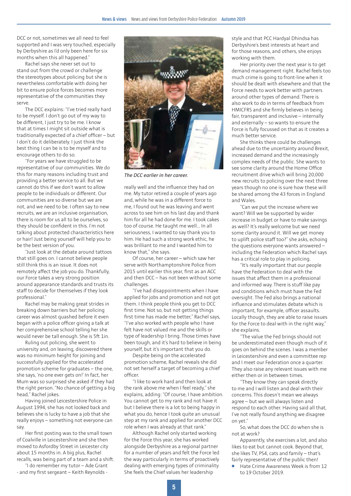DCC or not, sometimes we all need to feel supported and I was very touched, especially by Derbyshire as I'd only been here for six months when this all happened."

Rachel says she never set out to stand out from the crowd or challenge the stereotypes about policing but she is nevertheless comfortable with doing her bit to ensure police forces becomes more representative of the communities they serve.

The DCC explains: "I've tried really hard to be myself. I don't go out of my way to be different, I just try to be me. I know that at times I might sit outside what is traditionally expected of a chief officer – but I don't do it deliberately. I just think the best thing I can be is to be myself and to encourage others to do so.

"For years we have struggled to be representative of our communities. We do this for many reasons including trust and providing a better service to all. But we cannot do this if we don't want to allow people to be individuals or different. Our communities are so diverse but we are not, and we need to be. I often say to new recruits, we are an inclusive organisation, there is room for us all to be ourselves, so they should be confident in this. I'm not talking about protected characteristics here or hair! Just being yourself will help you to be the best version of you.

"Just look at the debate around tattoos that still goes on. I cannot believe people still think this is an issue. It does not remotely affect the job you do. Thankfully, our Force takes a very strong position around appearance standards and trusts its staff to decide for themselves if they look professional."

Rachel may be making great strides in breaking down barriers but her policing career was almost quashed before it even began with a police officer giving a talk at her comprehensive school telling her she would never be tall enough. She is 5ft 1in.

Ruling out policing, she went to university and, on leaving, discovered there was no minimum height for joining and successfully applied for the accelerated promotion scheme for graduates – the one, she says, 'no one ever gets on!' In fact, her Mum was so surprised she asked if they had the right person. "No chance of getting a big head," Rachel jokes.

Having joined Leicestershire Police in August 1994, she has not looked back and believes she is lucky to have a job that she really enjoys – something not everyone can say.

Her first posting was to the small town of Coalville in Leicestershire and she then moved to Asfordby Street in Leicester city about 15 months in. A big plus, Rachel recalls, was being part of a team and a shift.

"I do remember my tutor – Ade Grant - and my first sergeant – Keith Reynolds -



*The DCC earlier in her career.*

really well and the influence they had on me. My tutor retired a couple of years ago and, while he was in a different force to me, I found out he was leaving and went across to see him on his last day and thank him for all he had done for me. I took cakes too of course. He taught me well… In all seriousness, I wanted to say thank you to him. He had such a strong work ethic, he was brilliant to me and I wanted him to know that," she says.

Of course, her career – which saw her serve with Northamptonshire Police from 2015 until earlier this year, first as an ACC and then DCC – has not been without some challenges

"I've had disappointments when I have applied for jobs and promotion and not got them. I think people think you get to DCC first time. Not so, but not getting things first time has made me better," Rachel says, "I've also worked with people who I have felt have not valued me and the skills or type of leadership I bring. Those times have been tough, and it's hard to believe in being yourself, but it's important that you do.

Despite being on the accelerated promotion scheme, Rachel reveals she did not set herself a target of becoming a chief officer.

"I like to work hard and then look at the rank above me when I feel ready," she explains, adding: "Of course, I have ambition. You cannot get to my rank and not have it but I believe there is a lot to being happy in what you do, hence I took quite an unusual step at my rank and applied for another DCC role when I was already at that rank."

Although Rachel only started working for the Force this year, she has worked alongside Derbyshire as a regional partner for a number of years and felt the Force led the way particularly in terms of proactively dealing with emerging types of criminality. She feels the Chief values her leadership

style and that PCC Hardyal Dhindsa has Derbyshire's best interests at heart and for those reasons, and others, she enjoys working with them.

Her priority over the next year is to get demand management right. Rachel feels too much crime is going to front-line when it should be dealt with elsewhere and that the Force needs to work better with partners around other types of demand. There is also work to do in terms of feedback from HMICFRS and she firmly believes in being fair, transparent and inclusive – internally and externally – so wants to ensure the Force is fully focussed on that as it creates a much better service.

She thinks there could be challenges ahead due to the uncertainty around Brexit, increased demand and the increasingly complex needs of the public. She wants to see some clarity around the Home Office recruitment drive which will bring 20,000 new recruits to policing over the next three years though no one is sure how these will be shared among the 43 forces in England and Wales.

"Can we put the increase where we want? Will we be supported by wider increase in budget or have to make savings as well? It's really welcome but we need some clarity around it. Will we get money to uplift police staff too?" she asks, echoing the questions everyone wants answered – including the Federation which Rachel says has a critical role to play in policing.

"It's really important that our people have the Federation to deal with the issues that affect them in a professional and informed way. There is stuff like pay and conditions which must have the Fed oversight. The Fed also brings a national influence and stimulates debate which is important, for example, officer assaults. Locally though, they are able to raise issues for the Force to deal with in the right way," she explains.

"The value the Fed brings should not be underestimated even though much of it goes on behind the scenes. I was a member in Leicestershire and even a committee rep and I meet our Federation once a quarter. They also raise any relevant issues with me either then or in between times.

"They know they can speak directly to me and I will listen and deal with their concerns. This doesn't mean we always agree – but we will always listen and respond to each other. Having said all that, I've not really found anything we disagree on yet."

So, what does the DCC do when she is not at work?

Apparently, she exercises a lot, and also likes to eat but cannot cook. Beyond that, she likes TV, PS4, cats and family – that's fairly representative of the public then!

Hate Crime Awareness Week is from 12 to 19 October 2019.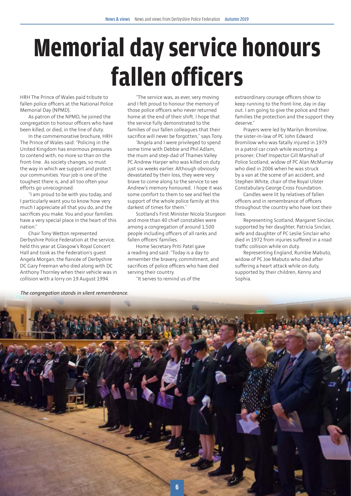## **Memorial day service honours fallen officers**

HRH The Prince of Wales paid tribute to fallen police officers at the National Police Memorial Day (NPMD).

As patron of the NPMD, he joined the congregation to honour officers who have been killed, or died, in the line of duty.

In the commemorative brochure, HRH The Prince of Wales said: "Policing in the United Kingdom has enormous pressures to contend with, no more so than on the front-line. As society changes, so must the way in which we support and protect our communities. Your job is one of the toughest there is, and all too often your efforts go unrecognised.

"I am proud to be with you today, and I particularly want you to know how very much I appreciate all that you do, and the sacrifices you make. You and your families have a very special place in the heart of this nation."

Chair Tony Wetton represented Derbyshire Police Federation at the service, held this year at Glasgow's Royal Concert Hall and took as the Federation's guest Angela Morgan, the fiancée of Derbyshire DC Gary Freeman who died along with DC Anthony Thornley when their vehicle was in collision with a lorry on 19 August 1994.

"The service was, as ever, very moving and I felt proud to honour the memory of those police officers who never returned home at the end of their shift. I hope that the service fully demonstrated to the families of our fallen colleagues that their sacrifice will never be forgotten," says Tony.

"Angela and I were privileged to spend some time with Debbie and Phil Adlam, the mum and step-dad of Thames Valley PC Andrew Harper who was killed on duty just six weeks earlier. Although obviously devastated by their loss, they were very brave to come along to the service to see Andrew's memory honoured. I hope it was some comfort to them to see and feel the support of the whole police family at this darkest of times for them."

Scotland's First Minister Nicola Sturgeon and more than 40 chief constables were among a congregation of around 1,500 people including officers of all ranks and fallen officers' families.

Home Secretary Priti Patel gave a reading and said: "Today is a day to remember the bravery, commitment, and sacrifices of police officers who have died serving their country.

"It serves to remind us of the

extraordinary courage officers show to keep running to the front-line, day in day out. I am going to give the police and their families the protection and the support they deserve."

Prayers were led by Marilyn Bromilow, the sister-in-law of PC John Edward Bromilow who was fatally injured in 1979 in a patrol car crash while escorting a prisoner; Chief Inspector Gill Marshall of Police Scotland, widow of PC Alan McMurray who died in 2006 when he was struck by a van at the scene of an accident, and Stephen White, chair of the Royal Ulster Constabulary George Cross Foundation.

Candles were lit by relatives of fallen officers and in remembrance of officers throughout the country who have lost their lives.

Representing Scotland, Margaret Sinclair, supported by her daughter, Patricia Sinclair, wife and daughter of PC Leslie Sinclair who died in 1972 from injuries suffered in a road traffic collision while on duty.

Representing England, Rumbie Mabuto, widow of PC Joe Mabuto who died after suffering a heart attack while on duty, supported by their children, Kenny and Sophia.



*The congregation stands in silent remembrance.*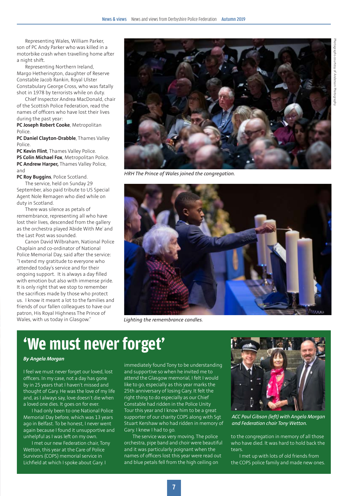Photographs courtesy of Anderson Photography phs courtesy of Anderson Pl

Representing Wales, William Parker, son of PC Andy Parker who was killed in a motorbike crash when travelling home after a night shift.

Representing Northern Ireland, Margo Hetherington, daughter of Reserve Constable Jacob Rankin, Royal Ulster Constabulary George Cross, who was fatally shot in 1978 by terrorists while on duty.

Chief Inspector Andrea MacDonald, chair of the Scottish Police Federation, read the names of officers who have lost their lives during the past year:

**PC Joseph Robert Cooke**, Metropolitan Police.

**PC Daniel Clayton-Drabble**, Thames Valley Police.

**PC Kevin Flint**, Thames Valley Police. **PS Colin Michael Fox**, Metropolitan Police. **PC Andrew Harper,** Thames Valley Police, and

**PC Roy Buggins**, Police Scotland. The service, held on Sunday 29 September, also paid tribute to US Special Agent Nole Remagen who died while on duty in Scotland.

There was silence as petals of remembrance, representing all who have lost their lives, descended from the gallery as the orchestra played 'Abide With Me' and the Last Post was sounded.

Canon David Wilbraham, National Police Chaplain and co-ordinator of National Police Memorial Day, said after the service: "I extend my gratitude to everyone who attended today's service and for their ongoing support. It is always a day filled with emotion but also with immense pride. It is only right that we stop to remember the sacrifices made by those who protect us. I know it meant a lot to the families and friends of our fallen colleagues to have our patron, His Royal Highness The Prince of Wales, with us today in Glasgow."



*HRH The Prince of Wales joined the congregation.*



*Lighting the remembrance candles.*

### **'We must never forget'**

#### *By Angela Morgan*

I feel we must never forget our loved, lost officers. In my case, not a day has gone by in 25 years that I haven't missed and thought of Gary. He was the love of my life and, as I always say, love doesn't die when a loved one dies. It goes on for ever.

I had only been to one National Police Memorial Day before, which was 13 years ago in Belfast. To be honest, I never went again because I found it unsupportive and unhelpful as I was left on my own.

I met our new Federation chair, Tony Wetton, this year at the Care of Police Survivors (COPS) memorial service in Lichfield at which I spoke about Gary. I

immediately found Tony to be understanding and supportive so when he invited me to attend the Glasgow memorial, I felt I would like to go, especially as this year marks the 25th anniversary of losing Gary. It felt the right thing to do especially as our Chief Constable had ridden in the Police Unity Tour this year and I know him to be a great supporter of our charity COPS along with Sgt Stuart Kershaw who had ridden in memory of Gary. I knew I had to go.

The service was very moving. The police orchestra, pipe band and choir were beautiful and it was particularly poignant when the names of officers lost this year were read out and blue petals fell from the high ceiling on



*ACC Paul Gibson (left) with Angela Morgan and Federation chair Tony Wetton.*

to the congregation in memory of all those who have died. It was hard to hold back the tears.

I met up with lots of old friends from the COPS police family and made new ones.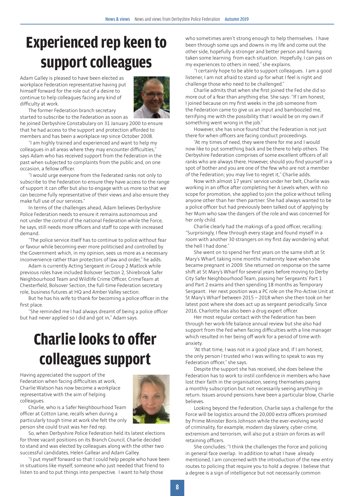## **Experienced rep keen to support colleagues**

Adam Galley is pleased to have been elected as workplace Federation representative having put himself forward for the role out of a desire to continue to help colleagues facing any kind of difficulty at work.



The former Federation branch secretary started to subscribe to the Federation as soon as

he joined Derbyshire Constabulary on 31 January 2000 to ensure that he had access to the support and protection afforded to members and has been a workplace rep since October 2008.

"I am highly trained and experienced and want to help my colleagues in all areas where they may encounter difficulties," says Adam who has received support from the Federation in the past when subjected to complaints from the public and, on one occasion, a fellow officer.

"I would urge everyone from the Federated ranks not only to subscribe to the Federation to ensure they have access to the range of support it can offer but also to engage with us more so that we can become fully representative of their views and also ensure they make full use of our services."

In terms of the challenges ahead, Adam believes Derbyshire Police Federation needs to ensure it remains autonomous and not under the control of the national Federation while the Force, he says, still needs more officers and staff to cope with increased demand.

"The police service itself has to continue to police without fear or favour while becoming ever more politicised and controlled by the Government which, in my opinion, sees us more as a necessary inconvenience rather than protectors of law and order," he adds.

Adam is currently Acting Sergeant in Group 2 Matlock while previous roles have included Bolsover Section 2, Shirebrook Safer Neighbourhood Team and Wildlife Crime Officer, CrimeTeam at Chesterfield, Bolsover Section, the full-time Federation secretary role, business futures at HQ and Amber Valley section.

But he has his wife to thank for becoming a police officer in the first place.

"She reminded me I had always dreamt of being a police officer but had never applied so I did and got in," Adam says.

## **Charlie looks to offer colleagues support**

Having appreciated the support of the Federation when facing difficulties at work, Charlie Watson has now become a workplace representative with the aim of helping colleagues.



Charlie, who is a Safer Neighbourhood Team officer at Cotton Lane, recalls when during a particularly tough time at work she felt the only person she could trust was her Fed rep.

So, when Derbyshire Police Federation held its latest elections for three vacant positions on its Branch Council, Charlie decided to stand and was elected by colleagues along with the other two successful candidates, Helen Gallear and Adam Galley.

"I put myself forward so that I could help people who have been in situations like myself, someone who just needed that friend to listen to and to put things into perspective. I want to help those

who sometimes aren't strong enough to help themselves. I have been through some ups and downs in my life and come out the other side, hopefully a stronger and better person and having taken some learning from each situation. Hopefully, I can pass on my experiences to others in need," she explains.

"I certainly hope to be able to support colleagues. I am a good listener, I am not afraid to stand up for what I feel is right and challenge those who need to be challenged."

Charlie admits that when she first joined the Fed she did so more out of a fear than anything else. She says: "If I am honest, I joined because on my first weeks in the job someone from the Federation came to give us an input and bamboozled me, terrifying me with the possibility that I would be on my own if something went wrong in the job."

However, she has since found that the Federation is not just there for when officers are facing conduct proceedings.

"At my times of need, they were there for me and I would now like to put something back and be there to help others. The Derbyshire Federation comprises of some excellent officers of all ranks who are always there. However, should you find yourself in a spot of bother and you are one of the few who are not a member of the Federation; you may live to regret it," Charlie adds.

Now with almost 17 years' service under her belt, Charlie was working in an office after completing her A Levels when, with no scope for promotion, she applied to join the police without telling anyone other than her then partner. She had always wanted to be a police officer but had previously been talked out of applying by her Mum who saw the dangers of the role and was concerned for her only child.

Charlie clearly had the makings of a good officer, recalling: "Surprisingly, I flew through every stage and found myself in a room with another 30 strangers on my first day wondering what the hell I had done."

She went on to spend her first years on the same shift at St Mary's Wharf, taking nine months' maternity leave when she became pregnant in 2009. She returned on response on the same shift at St Mary's Wharf for several years before moving to Derby City Safer Neighbourhood Team, passing her Sergeants' Part 1 and Part 2 exams and then spending 18 months as Temporary Sergeant. Her next position was a PC role on the Pro-Active Unit at St Mary's Wharf between 2015 – 2018 when she then took on her latest post where she does act up as sergeant periodically. Since 2016, Charlotte has also been a drug expert officer.

Her most regular contact with the Federation has been through her work-life balance annual review but she also had support from the Fed when facing difficulties with a line manager which resulted in her being off work for a period of time with anxiety.

"At that time, I was not in a good place and, if I am honest, the only person I trusted who I was willing to speak to was my Federation officer," she says.

Despite the support she has received, she does believe the Federation has to work to instil confidence in members who have lost their faith in the organisation, seeing themselves paying a monthly subscription but not necessarily seeing anything in return. Issues around pensions have been a particular blow, Charlie believes.

Looking beyond the Federation, Charlie says a challenge for the Force will be logistics around the 20,000 extra officers promised by Prime Minister Boris Johnson while the ever-evolving world of criminality, for example, modern day slavery, cyber-crime, extremism and terrorism, will also put a strain on forces as will retaining officers.

She concludes: "I think the challenges the Force and policing in general face overlap. In addition to what I have already mentioned, I am concerned with the introduction of the new entry routes to policing that require you to hold a degree. I believe that a degree is a sign of intelligence but not necessarily common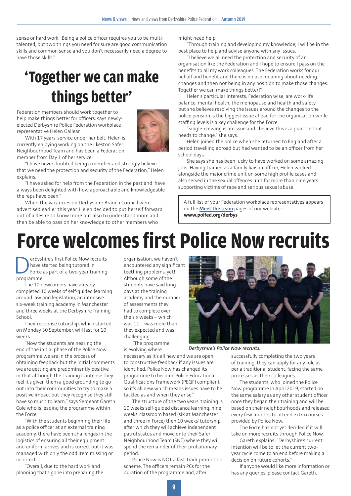sense or hard work. Being a police officer requires you to be multitalented, but two things you need for sure are good communication skills and common sense and you don't necessarily need a degree to have those skills."

## **'Together we can make things better'**

Federation members should work together to help make things better for officers, says newlyelected Derbyshire Police Federation workplace representative Helen Gallear.



With 17 years' service under her belt, Helen is currently enjoying working on the Ilkeston Safer Neighbourhood Team and has been a Federation member from Day 1 of her service.

"I have never doubted being a member and strongly believe that we need the protection and security of the Federation," Helen explains.

"I have asked for help from the Federation in the past and have always been delighted with how approachable and knowledgeable the reps have been."

When the vacancies on Derbyshire Branch Council were advertised earlier this year, Helen decided to put herself forward out of a desire to know more but also to understand more and then be able to pass on her knowledge to other members who

might need help.

"Through training and developing my knowledge, I will be in the best place to help and advise anyone with any issues.

"I believe we all need the protection and security of an organisation like the Federation and I hope to ensure I pass on the benefits to all my work colleagues. The Federation works for our behalf and benefit and there is no use moaning about needing changes and then not being in any position to make those changes. Together we can make things better!"

Helen's particular interests, Federation wise, are work-life balance, mental health, the menopause and health and safety but she believes resolving the issues around the changes to the police pension is the biggest issue ahead for the organisation while staffing levels is a key challenge for the Force.

"Single-crewing is an issue and I believe this is a practice that needs to change," she says.

Helen joined the police when she returned to England after a period travelling abroad but had wanted to be an officer from her school days.

She says she has been lucky to have worked on some amazing jobs. Having trained as a family liaison officer, Helen worked alongside the major crime unit on some high profile cases and also served in the sexual offences unit for more than nine years supporting victims of rape and serious sexual abuse.

A full list of your Federation workplace representatives appears on the **[Meet the team](https://www.polfed.org/derbys/about-us/meet-the-team/)** pages of our website – **www.polfed.org/derbys**

## **Force welcomes first Police Now recruits**

Perbyshire's first Police Now recruits<br>have started being tutored in<br>Force as part of a two-year training<br>programme have started being tutored in Force as part of a two-year training programme.

The 10 newcomers have already completed 10 weeks of self-guided learning around law and legislation, an intensive six-week training academy in Manchester and three weeks at the Derbyshire Training School.

Their response tutorship, which started on Monday 30 September, will last for 10 weeks.

"Now the students are nearing the end of the initial phase of the Police Now programme we are in the process of obtaining feedback but the initial comments we are getting are predominantly positive in that although the training is intense they feel it's given them a good grounding to go out into their communities to try to make a positive impact but they recognise they still have so much to learn," says Sergeant Gareth Cole who is leading the programme within the Force.

"With the students beginning their life as a police officer at an external training academy, there have been challenges in the logistics of ensuring all their equipment and uniform arrives and is correct but it was managed with only the odd item missing or incorrect.

"Overall, due to the hard work and planning that's gone into preparing the organisation, we haven't encountered any significant teething problems, yet! Although some of the students have said long days at the training academy and the number of assessments they had to complete over the six weeks – which was 11 – was more than they expected and was challenging.

"The programme is evolving where

necessary as it's all new and we are open to constructive feedback if any issues are identified. Police Now has changed its programme to become Police Educational Qualifications Framework (PEQF) compliant so it's all new which means issues have to be tackled as and when they arise."

The structure of the two years' training is 10 weeks self-guided distance learning, nine weeks' classroom based (six at Manchester and three in Force) then 10 weeks' tutorship after which they will achieve independent patrol status and move onto their Safer Neighbourhood Team (SNT) where they will spend the remainder of their probationary period.

Police Now is NOT a fast-track promotion scheme. The officers remain PCs for the duration of the programme and, after



*Derbyshire's Police Now recruits.*

successfully completing the two years of training, they can apply for any role as per a traditional student, facing the same processes as their colleagues.

The students, who joined the Police Now programme in April 2019, started on the same salary as any other student officer once they began their training and will be based on their neighbourhoods and released every few months to attend extra courses provided by Police Now.

The Force has not yet decided if it will take on more recruits through Police Now.

Gareth explains: "Derbyshire's current intention will be to let the current twoyear cycle come to an end before making a decision on future cohorts."

If anyone would like more information or has any queries, please contact Gareth.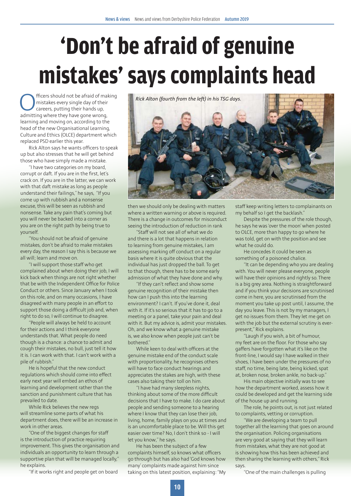## **'Don't be afraid of genuine mistakes' says complaints head**

fficers should not be afraid of making mistakes every single day of their careers, putting their hands up, admitting where they have gone wrong, learning and moving on, according to the head of the new Organisational Learning, Culture and Ethics (OLCE) department which replaced PSD earlier this year.

Rick Alton says he wants officers to speak up but also stresses that he will get behind those who have simply made a mistake.

"I have two categories on my board, corrupt or daft. If you are in the first, let's crack on. If you are in the latter, we can work with that daft mistake as long as people understand their failings," he says, "If you come up with rubbish and a nonsense excuse, this will be seen as rubbish and nonsense. Take any pain that's coming but you will never be backed into a corner as you are on the right path by being true to yourself.

"You should not be afraid of genuine mistakes, don't be afraid to make mistakes every day, the reason I say this is because we all will; learn and move on.

"I will support those staff who get complained about when doing their job, I will kick back when things are not right whether that be with the Independent Office for Police Conduct or others. Since January when I took on this role, and on many occasions, I have disagreed with many people in an effort to support those doing a difficult job and, when right to do so, I will continue to disagree.

"People will always be held to account for their actions and I think everyone understands that. What people do need though is a chance: a chance to admit and cough their mistakes, no bull, just tell it how it is. I can work with that. I can't work with a pile of rubbish."

He is hopeful that the new conduct regulations which should come into effect early next year will embed an ethos of learning and development rather than the sanction and punishment culture that has prevailed to date.

While Rick believes the new regs will streamline some parts of what his department does, there will be an increase in work in other areas.

"One of the biggest changes for staff is the introduction of practice requiring improvement. This gives the organisation and individuals an opportunity to learn through a supportive plan that will be managed locally," he explains.

"If it works right and people get on board



then we should only be dealing with matters where a written warning or above is required. There is a change in outcomes for misconduct seeing the introduction of reduction in rank

"Staff will not see all of what we do and there is a lot that happens in relation to learning from genuine mistakes, I am assessing marking off conduct on a regular basis where it is quite obvious that the individual has just dropped the ball. To get to that though, there has to be some early admission of what they have done and why.

"If they can't reflect and show some genuine recognition of their mistake then how can I push this into the learning environment? I can't. If you've done it, deal with it. If it's so serious that it has to go to a meeting or a panel, take your pain and deal with it. But my advice is, admit your mistakes. Oh, and we know what a genuine mistake is, we also know when people just can't be bothered."

While keen to deal with officers at the genuine mistake end of the conduct scale with proportionality, he recognises others will have to face conduct hearings and appreciates the stakes are high, with these cases also taking their toll on him.

"I have had many sleepless nights, thinking about some of the more difficult decisions that I have to make. I do care about people and sending someone to a hearing where I know that they can lose their job, living, home, family plays on you at times and is an uncomfortable place to be. Will this get easier over time? No, I don't think so - I will let you know," he says.

He has been the subject of a few complaints himself, so knows what officers go through but has also had 'God knows how many' complaints made against him since taking on this latest position, explaining: "My staff keep writing letters to complainants on my behalf so I get the backlash."

Despite the pressures of the role though, he says he was 'over the moon' when posted to OLCE, more than happy to go where he was told, get on with the position and see what he could do.

He concedes it could be seen as something of a poisoned chalice.

"It can be depending who you are dealing with. You will never please everyone, people will have their opinions and rightly so. There is a big grey area. Nothing is straightforward and if you think your decisions are scrutinised come in here, you are scrutinised from the moment you take up post until, I assume, the day you leave. This is not by my managers, I get no issues from them. They let me get on with the job but the external scrutiny is everpresent," Rick explains.

"Laugh if you wish, a bit of humour, my feet are on the floor. For those who say gaffers have forgotten what it's like on the front-line, I would say I have walked in their shoes, I have been under the pressures of no staff, no time, being late, being kicked, spat at, broken nose, broken ankle, no back-up."

His main objective initially was to see how the department worked, assess how it could be developed and get the learning side of the house up and running.

The role, he points out, is not just related to complaints, vetting or corruption.

"We are developing a team to pull together all the learning that goes on around the organisation. Policing organisations are very good at saying that they will learn from mistakes, what they are not good at is showing how this has been achieved and then sharing the learning with others," Rick says.

"One of the main challenges is pulling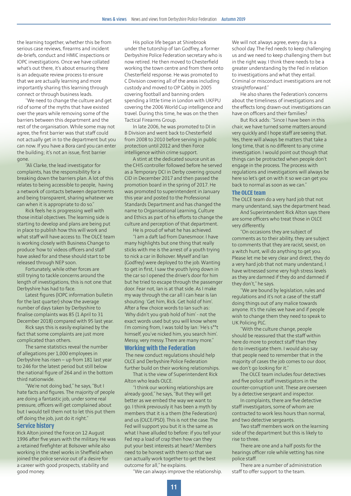the learning together, whether this be from serious case reviews, firearms and incident de-briefs, conduct and HMIC inspections or IOPC investigations. Once we have collated what's out there, it's about ensuring there is an adequate review process to ensure that we are actually learning and more importantly sharing this learning through connect or through business leads.

"We need to change the culture and get rid of some of the myths that have existed over the years while removing some of the barriers between this department and the rest of the organisation. While some may not agree, the first barrier was that staff could not actually get in to the department but you can now. If you have a Bora card you can enter the building; it's not an issue, first barrier gone.

"Ali Clarke, the lead investigator for complaints, has the responsibility for a breaking down the barriers plan. A lot of this relates to being accessible to people, having a network of contacts between departments and being transparent, sharing whatever we can when it is appropriate to do so.

Rick feels he is progressing well with those initial objectives. The learning side is starting to develop and plans are being put in place to publish how this will work and what staff will have access to. The OLCE team is working closely with Business Change to produce 'how to' videos officers and staff have asked for and these should start to be released through NEP soon.

Fortunately, while other forces are still trying to tackle concerns around the length of investigations, this is not one that Derbyshire has had to face.

Latest figures (IOPC information bulletin for the last quarter) show the average number of days taken by Derbyshire to finalise complaints was 85 (1 April to 31 December 2018) compared with 95 last year.

Rick says this is easily explained by the fact that some complaints are just more complicated than others.

The same statistics reveal the number of allegations per 1,000 employees in Derbyshire has risen – up from 181 last year to 246 for the latest period but still below the national figure of 264 and in the bottom third nationwide.

"We're not doing bad," he says, "But I hate facts and figures. The majority of people are doing a fantastic job, under some real pressure, officers will get complained about but I would tell them not to let this put them off doing the job, just do it right."

#### **Service history**

Rick Alton joined the Force on 12 August 1996 after five years with the military. He was a retained firefighter at Bolsover while also working in the steel works in Sheffield when joined the police service out of a desire for a career with good prospects, stability and good money.

His police life began at Shirebrook under the tutorship of Ian Godfrey, a former Derbyshire Police Federation secretary who is now retired. He then moved to Chesterfield working the town centre and from there onto Chesterfield response. He was promoted to C Division covering all of the areas including custody and moved to OP Cabby in 2005 covering football and banning orders spending a little time in London with UKFPU covering the 2006 World Cup intelligence and travel. During this time, he was on the then Tactical Firearms Group.

In late 2006, he was promoted to DI in B Division and went back to Chesterfield from 2008 to 2010 before serving in public protection until 2012 and then Force intelligence within crime support.

A stint at the dedicated source unit as the CHIS controller followed before he served as a Temporary DCI in Derby covering ground CID in December 2017 and then passed the promotion board in the spring of 2017. He was promoted to superintendent in January this year and posted to the Professional Standards Department and has changed the name to Organisational Learning, Culture and Ethics as part of his efforts to change the culture and perception of that department.

He is proud of what he has achieved.

"I am a daft lad from Danesmoor. I have many highlights but one thing that really sticks with me is the arrest of a youth trying to nick a car in Bolsover. Myself and Ian (Godfrey) were deployed to the job. Wanting to get in first, I saw the youth lying down in the car so I opened the driver's door for him but he tried to escape through the passenger door. Fear not, Ian is at that side. As I make my way through the car all I can hear is Ian shouting: 'Get him, Rick. Get hold of him'. After a few choice words to Ian such as: 'Why didn't you grab hold of him' - not the exact words used but you will know where I'm coming from, I was told by Ian: 'He's s\*\*t himself, you've nicked him, you search him'. Messy, very messy. There are many more."

#### **Working with the Federation**

 The new conduct regulations should help OLCE and Derbyshire Police Federation further build on their working relationships.

That is the view of Superintendent Rick Alton who leads OLCE.

"I think our working relationships are already good," he says, "But they will get better as we embed the way we want to go. I think previously it has been a myth by members that it is a them (the Federation) and us (OLCE/PSD). This is not the case. The Fed will support you but it is the same as what I have alluded to before: if you tell your Fed rep a load of crap then how can they put your best interests at heart? Members need to be honest with them so that we can actually work together to get the best outcome for all," he explains.

"We can always improve the relationship.

We will not always agree, every day is a school day. The Fed needs to keep challenging us and we need to keep challenging them but in the right way. I think there needs to be a greater understanding by the Fed in relation to investigations and what they entail. Criminal or misconduct investigations are not straightforward."

He also shares the Federation's concerns about the timeliness of investigations and the effects long drawn-out investigations can have on officers and their families?

But Rick adds: "Since I have been in this chair, we have turned some matters around very quickly and I hope staff are seeing that. Yes, there will always be matters that take a long time, that is no different to any crime investigation. I would point out though that things can be protracted when people don't engage in the process. The process with regulations and investigations will always be here so let's get on with it so we can get you back to normal as soon as we can."

#### **The OLCE team**

The OLCE team do a very hard job that not many understand, says the department head.

And Superintendent Rick Alton says there are some officers who treat those in OLCE very differently.

"On occasions they are subject of comments as to their ability, they are subject to comments that they are racist, sexist, on a witch hunt, will do anything to get you. Please let me be very clear and direct, they do a very hard job that not many understand, I have witnessed some very high stress levels as they are damned if they do and damned if they don't," he says.

"We are bound by legislation, rules and regulations and it's not a case of the staff doing things out of any malice towards anyone. It's the rules we have and if people wish to change them they need to speak to UK Policing PLC.

"With the culture change, people should be reassured that the staff within here do more to protect staff than they do to investigate them. I would also say that people need to remember that in the majority of cases the job comes to our door, we don't go looking for it."

The OLCE team includes four detectives and five police staff investigators in the counter-corruption unit. These are overseen by a detective sergeant and inspector.

In complaints, there are five detective staff investigators, some of whom are contracted to work less hours than normal, and two detective sergeants.

Two staff members work on the learning side of the department but this is likely to rise to three.

There are one and a half posts for the hearings officer role while vetting has nine police staff.

There are a number of administration staff to offer support to the team.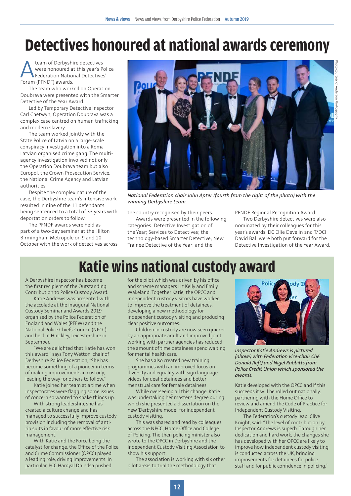### **Detectives honoured at national awards ceremony**

Ateam of Derbyshire detectives were honoured at this year's Police Federation National Detectives' Forum (PFNDF) awards.

The team who worked on Operation Doubrava were presented with the Smarter Detective of the Year Award.

Led by Temporary Detective Inspector Carl Chetwyn, Operation Doubrava was a complex case centred on human trafficking and modern slavery.

The team worked jointly with the State Police of Latvia on a large-scale conspiracy investigation into a Roma Latvian organised crime gang. The multiagency investigation involved not only the Operation Doubrava team but also Europol, the Crown Prosecution Service, the National Crime Agency and Latvian authorities.

Despite the complex nature of the case, the Derbyshire team's intensive work resulted in nine of the 11 defendants being sentenced to a total of 33 years with deportation orders to follow.

The PFNDF awards were held as part of a two-day seminar at the Hilton Birmingham Metropole on 9 and 10 October with the work of detectives across



*National Federation chair John Apter (fourth from the right of the photo) with the winning Derbyshire team.*

the country recognised by their peers.

Awards were presented in the following categories: Detective Investigation of the Year; Services to Detectives; the technology-based Smarter Detective; New Trainee Detective of the Year; and the

PFNDF Regional Recognition Award.

Two Derbyshire detectives were also nominated by their colleagues for this year's awards. DC Ellie Develin and T/DCI David Ball were both put forward for the Detective Investigation of the Year Award.

### **Katie wins national custody award**

A Derbyshire inspector has become the first recipient of the Outstanding Contribution to Police Custody Award.

Katie Andrews was presented with the accolade at the inaugural National Custody Seminar and Awards 2019 organised by the Police Federation of England and Wales (PFEW) and the National Police Chiefs' Council (NPCC) and held in Hinckley, Leicestershire in September.

"We are delighted that Katie has won this award," says Tony Wetton, chair of Derbyshire Police Federation, "She has become something of a pioneer in terms of making improvements in custody, leading the way for others to follow."

Katie joined her team at a time when inspectorates were flagging some issues of concern so wanted to shake things up.

With strong leadership, she has created a culture change and has managed to successfully improve custody provision including the removal of antirip suits in favour of more effective risk management.

With Katie and the Force being the catalyst for change, the Office of the Police and Crime Commissioner (OPCC) played a leading role, driving improvements. In particular, PCC Hardyal Dhindsa pushed

for the pilot which was driven by his office and scheme managers Liz Kelly and Emily Wakeland. Together Katie, the OPCC and independent custody visitors have worked to improve the treatment of detainees, developing a new methodology for independent custody visiting and producing clear positive outcomes.

Children in custody are now seen quicker by an appropriate adult and improved joint working with partner agencies has reduced the amount of time detainees spend waiting for mental health care.

She has also created new training programmes with an improved focus on diversity and equality with sign language videos for deaf detainees and better menstrual care for female detainees.

While overseeing all this change, Katie was undertaking her master's degree during which she presented a dissertation on the new 'Derbyshire model' for independent custody visiting.

This was shared and read by colleagues across the NPCC, Home Office and College of Policing. The then policing minister also wrote to the OPCC in Derbyshire and the Independent Custody Visiting Association to show his support.

The association is working with six other pilot areas to trial the methodology that



*Inspector Katie Andrews is pictured (above) with Federation vice-chair Ché Donald (left) and Nigel Rabbitts from Police Credit Union which sponsored the awards.*

Katie developed with the OPCC and if this succeeds it will be rolled out nationally, partnering with the Home Office to review and amend the Code of Practice for Independent Custody Visiting.

The Federation's custody lead, Clive Knight, said: "The level of contribution by Inspector Andrews is superb. Through her dedication and hard work, the changes she has developed with her OPCC are likely to improve how independent custody visiting is conducted across the UK, bringing improvements for detainees for police staff and for public confidence in policing."